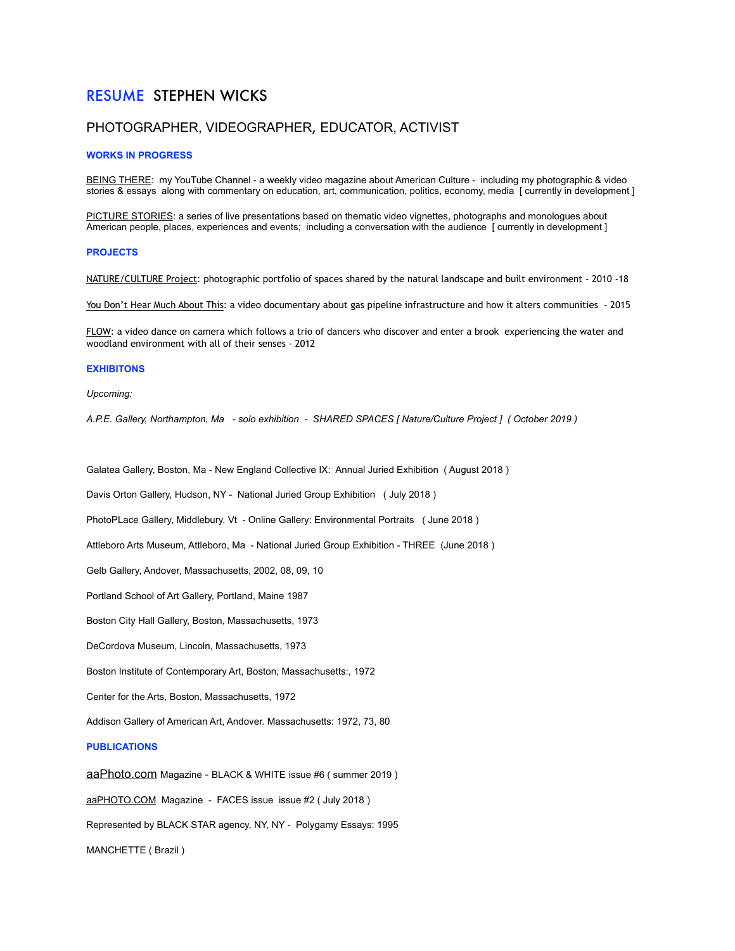# RESUME STEPHEN WICKS

## PHOTOGRAPHER, VIDEOGRAPHER, EDUCATOR, ACTIVIST

#### **WORKS IN PROGRESS**

BEING THERE: my YouTube Channel - a weekly video magazine about American Culture - including my photographic & video stories & essays along with commentary on education, art, communication, politics, economy, media [ currently in development ]

PICTURE STORIES: a series of live presentations based on thematic video vignettes, photographs and monologues about American people, places, experiences and events; including a conversation with the audience [ currently in development]

## **PROJECTS**

NATURE/CULTURE Project: photographic portfolio of spaces shared by the natural landscape and built environment - 2010 -18

You Don't Hear Much About This: a video documentary about gas pipeline infrastructure and how it alters communities - 2015

FLOW: a video dance on camera which follows a trio of dancers who discover and enter a brook experiencing the water and woodland environment with all of their senses - 2012

#### **EXHIBITONS**

*Upcoming:* 

*A.P.E. Gallery, Northampton, Ma - solo exhibition - SHARED SPACES [ Nature/Culture Project ] ( October 2019 )* 

Galatea Gallery, Boston, Ma - New England Collective IX: Annual Juried Exhibition ( August 2018 )

Davis Orton Gallery, Hudson, NY - National Juried Group Exhibition ( July 2018 )

PhotoPLace Gallery, Middlebury, Vt - Online Gallery: Environmental Portraits ( June 2018 )

Attleboro Arts Museum, Attleboro, Ma - National Juried Group Exhibition - THREE (June 2018 )

Gelb Gallery, Andover, Massachusetts, 2002, 08, 09, 10

Portland School of Art Gallery, Portland, Maine 1987

Boston City Hall Gallery, Boston, Massachusetts, 1973

DeCordova Museum, Lincoln, Massachusetts, 1973

Boston Institute of Contemporary Art, Boston, Massachusetts:, 1972

Center for the Arts, Boston, Massachusetts, 1972

Addison Gallery of American Art, Andover. Massachusetts: 1972, 73, 80

## **PUBLICATIONS**

[aaPhoto.com](http://aaphoto.com) Magazine - BLACK & WHITE issue #6 ( summer 2019 )

[aaPHOTO.COM](http://aaphoto.com) Magazine - FACES issue issue #2 ( July 2018 )

Represented by BLACK STAR agency, NY, NY - Polygamy Essays: 1995

MANCHETTE ( Brazil )